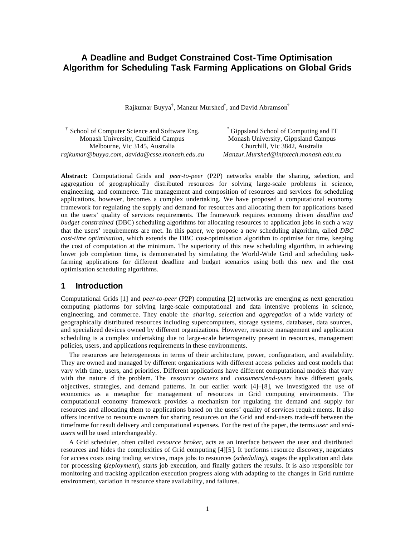# **A Deadline and Budget Constrained Cost-Time Optimisation Algorithm for Scheduling Task Farming Applications on Global Grids**

Rajkumar Buyya $^\dagger$ , Manzur Murshed $^*$ , and David Abramson $^\dagger$ 

† School of Computer Science and Software Eng. Monash University, Caulfield Campus Melbourne, Vic 3145, Australia *rajkumar@buyya.com, davida@csse.monash.edu.au*

\* Gippsland School of Computing and IT Monash University, Gippsland Campus Churchill, Vic 3842, Australia *Manzur.Murshed@infotech.monash.edu.au*

**Abstract:** Computational Grids and *peer-to-peer* (P2P) networks enable the sharing, selection, and aggregation of geographically distributed resources for solving large-scale problems in science, engineering, and commerce. The management and composition of resources and services for scheduling applications, however, becomes a complex undertaking. We have proposed a computational economy framework for regulating the supply and demand for resources and allocating them for applications based on the users' quality of services requirements. The framework requires economy driven *deadline and budget constrained* (DBC) scheduling algorithms for allocating resources to application jobs in such a way that the users' requirements are met. In this paper, we propose a new scheduling algorithm, called *DBC cost-time optimisation*, which extends the DBC cost-optimisation algorithm to optimise for time, keeping the cost of computation at the minimum. The superiority of this new scheduling algorithm, in achieving lower job completion time, is demonstrated by simulating the World-Wide Grid and scheduling taskfarming applications for different deadline and budget scenarios using both this new and the cost optimisation scheduling algorithms.

### **1 Introduction**

Computational Grids [1] and *peer-to-peer* (P2P) computing [2] networks are emerging as next generation computing platforms for solving large-scale computational and data intensive problems in science, engineering, and commerce. They enable the *sharing*, *selection* and *aggregation* of a wide variety of geographically distributed resources including supercomputers, storage systems, databases, data sources, and specialized devices owned by different organizations. However, resource management and application scheduling is a complex undertaking due to large-scale heterogeneity present in resources, management policies, users, and applications requirements in these environments.

The resources are heterogeneous in terms of their architecture, power, configuration, and availability. They are owned and managed by different organizations with different access policies and cost models that vary with time, users, and priorities. Different applications have different computational models that vary with the nature of the problem. The *resource owners* and *consumers/end-users* have different goals, objectives, strategies, and demand patterns. In our earlier work [4]–[8], we investigated the use of economics as a metaphor for management of resources in Grid computing environments. The computational economy framework provides a mechanism for regulating the demand and supply for resources and allocating them to applications based on the users' quality of services require ments. It also offers incentive to resource owners for sharing resources on the Grid and end-users trade-off between the timeframe for result delivery and computational expenses. For the rest of the paper, the terms *user* and *endusers* will be used interchangeably.

A Grid scheduler, often called *resource broker*, acts as an interface between the user and distributed resources and hides the complexities of Grid computing [4][5]. It performs resource discovery, negotiates for access costs using trading services, maps jobs to resources (*scheduling*), stages the application and data for processing (*deployment*), starts job execution, and finally gathers the results. It is also responsible for monitoring and tracking application execution progress along with adapting to the changes in Grid runtime environment, variation in resource share availability, and failures.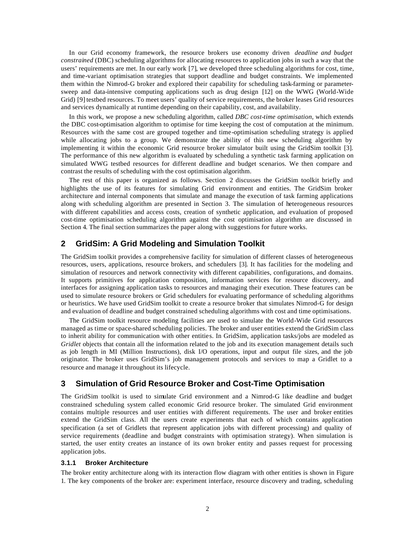In our Grid economy framework, the resource brokers use economy driven *deadline and budget constrained* (DBC) scheduling algorithms for allocating resources to application jobs in such a way that the users' requirements are met. In our early work [7], we developed three scheduling algorithms for cost, time, and time-variant optimisation strategies that support deadline and budget constraints. We implemented them within the Nimrod-G broker and explored their capability for scheduling task-farming or parametersweep and data-intensive computing applications such as drug design [12] on the WWG (World-Wide Grid) [9] testbed resources. To meet users' quality of service requirements, the broker leases Grid resources and services dynamically at runtime depending on their capability, cost, and availability.

In this work, we propose a new scheduling algorithm, called *DBC cost-time optimisation*, which extends the DBC cost-optimisation algorithm to optimise for time keeping the cost of computation at the minimum. Resources with the same cost are grouped together and time-optimisation scheduling strategy is applied while allocating jobs to a group. We demonstrate the ability of this new scheduling algorithm by implementing it within the economic Grid resource broker simulator built using the GridSim toolkit [3]. The performance of this new algorithm is evaluated by scheduling a synthetic task farming application on simulated WWG testbed resources for different deadline and budget scenarios. We then compare and contrast the results of scheduling with the cost optimisation algorithm.

The rest of this paper is organized as follows. Section 2 discusses the GridSim toolkit briefly and highlights the use of its features for simulating Grid environment and entities. The GridSim broker architecture and internal components that simulate and manage the execution of task farming applications along with scheduling algorithm are presented in Section 3. The simulation of heterogeneous resources with different capabilities and access costs, creation of synthetic application, and evaluation of proposed cost-time optimisation scheduling algorithm against the cost optimisation algorithm are discussed in Section 4. The final section summarizes the paper along with suggestions for future works.

# **2 GridSim: A Grid Modeling and Simulation Toolkit**

The GridSim toolkit provides a comprehensive facility for simulation of different classes of heterogeneous resources, users, applications, resource brokers, and schedulers [3]. It has facilities for the modeling and simulation of resources and network connectivity with different capabilities, configurations, and domains. It supports primitives for application composition, information services for resource discovery, and interfaces for assigning application tasks to resources and managing their execution. These features can be used to simulate resource brokers or Grid schedulers for evaluating performance of scheduling algorithms or heuristics. We have used GridSim toolkit to create a resource broker that simulates Nimrod-G for design and evaluation of deadline and budget constrained scheduling algorithms with cost and time optimisations.

The GridSim toolkit resource modeling facilities are used to simulate the World-Wide Grid resources managed as time or space-shared scheduling policies. The broker and user entities extend the GridSim class to inherit ability for communication with other entities. In GridSim, application tasks/jobs are modeled as *Gridlet* objects that contain all the information related to the job and its execution management details such as job length in MI (Million Instructions), disk I/O operations, input and output file sizes, and the job originator*.* The broker uses GridSim's job management protocols and services to map a Gridlet to a resource and manage it throughout its lifecycle.

# **3 Simulation of Grid Resource Broker and Cost-Time Optimisation**

The GridSim toolkit is used to simulate Grid environment and a Nimrod-G like deadline and budget constrained scheduling system called economic Grid resource broker. The simulated Grid environment contains multiple resources and user entities with different requirements. The user and broker entities extend the GridSim class. All the users create experiments that each of which contains application specification (a set of Gridlets that represent application jobs with different processing) and quality of service requirements (deadline and budget constraints with optimisation strategy). When simulation is started, the user entity creates an instance of its own broker entity and passes request for processing application jobs.

#### **3.1.1 Broker Architecture**

The broker entity architecture along with its interaction flow diagram with other entities is shown in Figure 1. The key components of the broker are: experiment interface, resource discovery and trading, scheduling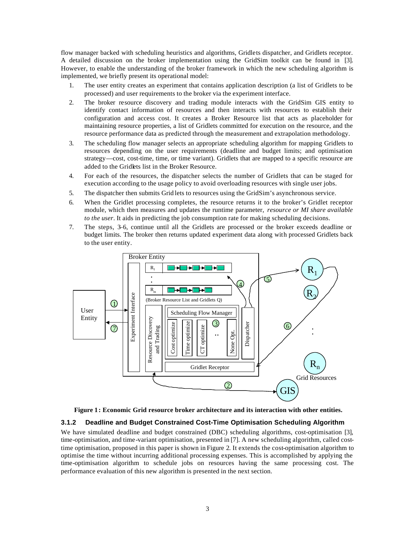flow manager backed with scheduling heuristics and algorithms, Gridlets dispatcher, and Gridlets receptor. A detailed discussion on the broker implementation using the GridSim toolkit can be found in [3]. However, to enable the understanding of the broker framework in which the new scheduling algorithm is implemented, we briefly present its operational model:

- 1. The user entity creates an experiment that contains application description (a list of Gridlets to be processed) and user requirements to the broker via the experiment interface.
- 2. The broker resource discovery and trading module interacts with the GridSim GIS entity to identify contact information of resources and then interacts with resources to establish their configuration and access cost. It creates a Broker Resource list that acts as placeholder for maintaining resource properties, a list of Gridlets committed for execution on the resource, and the resource performance data as predicted through the measurement and extrapolation methodology.
- 3. The scheduling flow manager selects an appropriate scheduling algorithm for mapping Gridlets to resources depending on the user requirements (deadline and budget limits; and optimisation strategy—cost, cost-time, time, or time variant). Gridlets that are mapped to a specific resource are added to the Gridlets list in the Broker Resource.
- 4. For each of the resources, the dispatcher selects the number of Gridlets that can be staged for execution according to the usage policy to avoid overloading resources with single user jobs.
- 5. The dispatcher then submits Grid lets to resources using the GridSim's asynchronous service.
- 6. When the Gridlet processing completes, the resource returns it to the broker's Gridlet receptor module, which then measures and updates the runtime parameter, *resource or MI share available to the user*. It aids in predicting the job consumption rate for making scheduling decisions.
- 7. The steps, 3–6, continue until all the Gridlets are processed or the broker exceeds deadline or budget limits. The broker then returns updated experiment data along with processed Gridlets back to the user entity.





### **3.1.2 Deadline and Budget Constrained Cost-Time Optimisation Scheduling Algorithm**

We have simulated deadline and budget constrained (DBC) scheduling algorithms, cost-optimisation [3], time-optimisation, and time-variant optimisation, presented in [7]. A new scheduling algorithm, called costtime optimisation, proposed in this paper is shown in Figure 2. It extends the cost-optimisation algorithm to optimise the time without incurring additional processing expenses. This is accomplished by applying the time-optimisation algorithm to schedule jobs on resources having the same processing cost. The performance evaluation of this new algorithm is presented in the next section.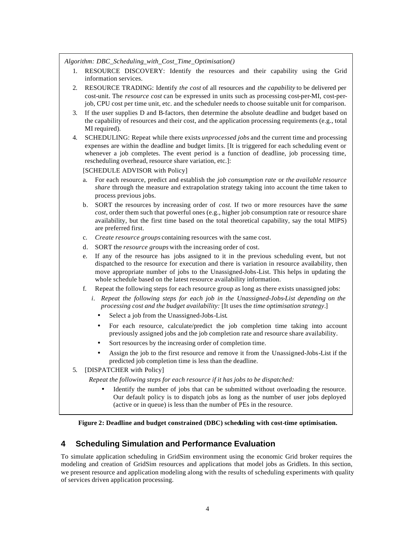*Algorithm: DBC\_Scheduling\_with\_Cost\_Time\_Optimisation()*

- 1. RESOURCE DISCOVERY: Identify the resources and their capability using the Grid information services.
- 2. RESOURCE TRADING: Identify *the cost* of all resources and *the capability* to be delivered per cost-unit. The *resource cost* can be expressed in units such as processing cost-per-MI, cost-perjob, CPU cost per time unit, etc. and the scheduler needs to choose suitable unit for comparison.
- 3. If the user supplies D and B-factors, then determine the absolute deadline and budget based on the capability of resources and their cost, and the application processing requirements (e.g., total MI required).
- 4. SCHEDULING: Repeat while there exists *unprocessed jobs* and the current time and processing expenses are within the deadline and budget limits. [It is triggered for each scheduling event or whenever a job completes. The event period is a function of deadline, job processing time, rescheduling overhead, resource share variation, etc.]:

[SCHEDULE ADVISOR with Policy]

- a. For each resource, predict and establish the *job consumption rate* or *the available resource share* through the measure and extrapolation strategy taking into account the time taken to process previous jobs.
- b. SORT the resources by increasing order of *cost.* If two or more resources have the *same cost*, order them such that powerful ones (e.g., higher job consumption rate or resource share availability, but the first time based on the total theoretical capability, say the total MIPS) are preferred first.
- c. *Create resource groups* containing resources with the same cost.
- d. SORT the *resource groups* with the increasing order of cost.
- e. If any of the resource has jobs assigned to it in the previous scheduling event, but not dispatched to the resource for execution and there is variation in resource availability, then move appropriate number of jobs to the Unassigned-Jobs-List. This helps in updating the whole schedule based on the latest resource availability information.
- f. Repeat the following steps for each resource group as long as there exists unassigned jobs:
	- *i.* Repeat the following steps for each job in the Unassigned-Jobs-List depending on the *processing cost and the budget availability:* [It uses the *time optimisation strategy*.]
		- Select a job from the Unassigned-Jobs-List*.*
		- For each resource, calculate/predict the job completion time taking into account previously assigned jobs and the job completion rate and resource share availability.
		- Sort resources by the increasing order of completion time.
		- Assign the job to the first resource and remove it from the Unassigned-Jobs-List if the predicted job completion time is less than the deadline.
- 5. [DISPATCHER with Policy]

*Repeat the following steps for each resource if it has jobs to be dispatched:*

• Identify the number of jobs that can be submitted without overloading the resource. Our default policy is to dispatch jobs as long as the number of user jobs deployed (active or in queue) is less than the number of PEs in the resource.

**Figure 2: Deadline and budget constrained (DBC) scheduling with cost-time optimisation.**

# **4 Scheduling Simulation and Performance Evaluation**

To simulate application scheduling in GridSim environment using the economic Grid broker requires the modeling and creation of GridSim resources and applications that model jobs as Gridlets. In this section, we present resource and application modeling along with the results of scheduling experiments with quality of services driven application processing.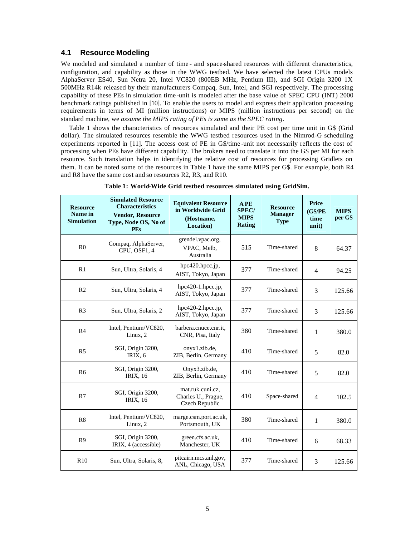## **4.1 Resource Modeling**

We modeled and simulated a number of time - and space-shared resources with different characteristics, configuration, and capability as those in the WWG testbed. We have selected the latest CPUs models AlphaServer ES40, Sun Netra 20, Intel VC820 (800EB MHz, Pentium III), and SGI Origin 3200 1X 500MHz R14k released by their manufacturers Compaq, Sun, Intel, and SGI respectively. The processing capability of these PEs in simulation time -unit is modeled after the base value of SPEC CPU (INT) 2000 benchmark ratings published in [10]. To enable the users to model and express their application processing requirements in terms of MI (million instructions) or MIPS (million instructions per second) on the standard machine, we *assume the MIPS rating of PEs is same as the SPEC rating*.

Table 1 shows the characteristics of resources simulated and their PE cost per time unit in G\$ (Grid dollar). The simulated resources resemble the WWG testbed resources used in the Nimrod-G scheduling experiments reported in [11]. The access cost of PE in G\$/time -unit not necessarily reflects the cost of processing when PEs have different capability. The brokers need to translate it into the G\$ per MI for each resource. Such translation helps in identifying the relative cost of resources for processing Gridlets on them. It can be noted some of the resources in Table 1 have the same MIPS per G\$. For example, both R4 and R8 have the same cost and so resources R2, R3, and R10.

| <b>Resource</b><br>Name in<br><b>Simulation</b> | <b>Simulated Resource</b><br><b>Characteristics</b><br><b>Vendor, Resource</b><br>Type, Node OS, No of<br><b>PEs</b> | <b>Equivalent Resource</b><br>in Worldwide Grid<br>(Hostname,<br>Location) | A PE<br><b>SPEC/</b><br><b>MIPS</b><br><b>Rating</b> | <b>Resource</b><br><b>Manager</b><br><b>Type</b> | Price<br>(G\$/PE)<br>time<br>unit) | <b>MIPS</b><br>per G\$ |
|-------------------------------------------------|----------------------------------------------------------------------------------------------------------------------|----------------------------------------------------------------------------|------------------------------------------------------|--------------------------------------------------|------------------------------------|------------------------|
| R <sub>0</sub>                                  | Compaq, AlphaServer,<br>CPU, OSF1, 4                                                                                 | grendel.vpac.org,<br>VPAC, Melb,<br>Australia                              | 515                                                  | Time-shared                                      | 8                                  | 64.37                  |
| R1                                              | Sun, Ultra, Solaris, 4                                                                                               | hpc420.hpcc.jp,<br>AIST, Tokyo, Japan                                      | 377                                                  | Time-shared                                      | $\overline{4}$                     | 94.25                  |
| R <sub>2</sub>                                  | Sun, Ultra, Solaris, 4                                                                                               | $hpc420-1.hpcc.jp,$<br>AIST, Tokyo, Japan                                  | 377                                                  | Time-shared                                      | 3                                  | 125.66                 |
| R <sub>3</sub>                                  | Sun, Ultra, Solaris, 2                                                                                               | hpc420-2.hpcc.jp,<br>AIST, Tokyo, Japan                                    | 377                                                  | Time-shared                                      | 3                                  | 125.66                 |
| R <sub>4</sub>                                  | Intel, Pentium/VC820,<br>Linux, 2                                                                                    | barbera.cnuce.cnr.it,<br>CNR, Pisa, Italy                                  | 380                                                  | Time-shared                                      | $\mathbf{1}$                       | 380.0                  |
| R <sub>5</sub>                                  | SGI, Origin 3200,<br>IRIX, 6                                                                                         | onyx1.zib.de,<br>ZIB, Berlin, Germany                                      | 410                                                  | Time-shared                                      | 5                                  | 82.0                   |
| R <sub>6</sub>                                  | SGI, Origin 3200,<br><b>IRIX, 16</b>                                                                                 | Onyx3.zib.de,<br>ZIB, Berlin, Germany                                      | 410                                                  | Time-shared                                      | 5                                  | 82.0                   |
| R7                                              | SGI, Origin 3200,<br><b>IRIX, 16</b>                                                                                 | mat.ruk.cuni.cz,<br>Charles U., Prague,<br>Czech Republic                  | 410                                                  | Space-shared                                     | $\overline{4}$                     | 102.5                  |
| R8                                              | Intel, Pentium/VC820,<br>Linux, 2                                                                                    | marge.csm.port.ac.uk,<br>Portsmouth, UK                                    | 380                                                  | Time-shared                                      | 1                                  | 380.0                  |
| R <sub>9</sub>                                  | SGI, Origin 3200,<br>IRIX, 4 (accessible)                                                                            | green.cfs.ac.uk,<br>Manchester, UK                                         | 410                                                  | Time-shared                                      | 6                                  | 68.33                  |
| R10                                             | Sun, Ultra, Solaris, 8,                                                                                              | pitcairn.mcs.anl.gov,<br>ANL, Chicago, USA                                 | 377                                                  | Time-shared                                      | 3                                  | 125.66                 |

**Table 1: World-Wide Grid testbed resources simulated using GridSim.**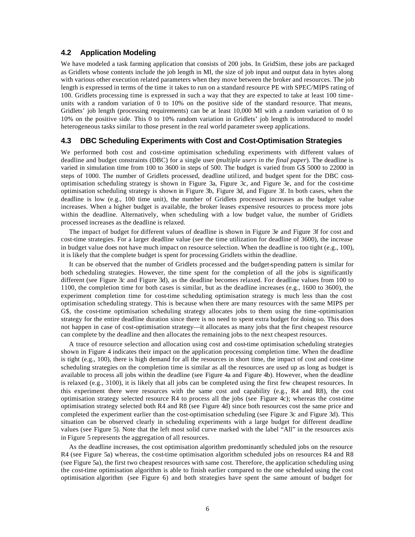## **4.2 Application Modeling**

We have modeled a task farming application that consists of 200 jobs. In GridSim, these jobs are packaged as Gridlets whose contents include the job length in MI, the size of job input and output data in bytes along with various other execution related parameters when they move between the broker and resources. The job length is expressed in terms of the time it takes to run on a standard resource PE with SPEC/MIPS rating of 100. Gridlets processing time is expressed in such a way that they are expected to take at least 100 timeunits with a random variation of 0 to 10% on the positive side of the standard resource. That means, Gridlets' job length (processing requirements) can be at least 10,000 MI with a random variation of 0 to 10% on the positive side. This 0 to 10% random variation in Gridlets' job length is introduced to model heterogeneous tasks similar to those present in the real world parameter sweep applications.

### **4.3 DBC Scheduling Experiments with Cost and Cost-Optimisation Strategies**

We performed both cost and cost-time optimisation scheduling experiments with different values of deadline and budget constraints (DBC) for a single user (*multiple users in the final paper*). The deadline is varied in simulation time from 100 to 3600 in steps of 500. The budget is varied from G\$ 5000 to 22000 in steps of 1000. The number of Gridlets processed, deadline utilized, and budget spent for the DBC costoptimisation scheduling strategy is shown in Figure 3a, Figure 3c, and Figure 3e, and for the cost-time optimisation scheduling strategy is shown in Figure 3b, Figure 3d, and Figure 3f. In both cases, when the deadline is low (e.g., 100 time unit), the number of Gridlets processed increases as the budget value increases. When a higher budget is available, the broker leases expensive resources to process more jobs within the deadline. Alternatively, when scheduling with a low budget value, the number of Gridlets processed increases as the deadline is relaxed.

The impact of budget for different values of deadline is shown in Figure 3e and Figure 3f for cost and cost-time strategies. For a larger deadline value (see the time utilization for deadline of 3600), the increase in budget value does not have much impact on resource selection. When the deadline is too tight (e.g., 100), it is likely that the complete budget is spent for processing Gridlets within the deadline.

It can be observed that the number of Gridlets processed and the budget-spending pattern is similar for both scheduling strategies. However, the time spent for the completion of all the jobs is significantly different (see Figure 3c and Figure 3d), as the deadline becomes relaxed. For deadline values from 100 to 1100, the completion time for both cases is similar, but as the deadline increases (e.g., 1600 to 3600), the experiment completion time for cost-time scheduling optimisation strategy is much less than the cost optimisation scheduling strategy. This is because when there are many resources with the same MIPS per G\$, the cost-time optimisation scheduling strategy allocates jobs to them using the time -optimisation strategy for the entire deadline duration since there is no need to spent extra budget for doing so. This does not happen in case of cost-optimisation strategy—it allocates as many jobs that the first cheapest resource can complete by the deadline and then allocates the remaining jobs to the next cheapest resources.

A trace of resource selection and allocation using cost and cost-time optimisation scheduling strategies shown in Figure 4 indicates their impact on the application processing completion time. When the deadline is tight (e.g., 100), there is high demand for all the resources in short time, the impact of cost and cost-time scheduling strategies on the completion time is similar as all the resources are used up as long as budget is available to process all jobs within the deadline (see Figure 4a and Figure 4b). However, when the deadline is relaxed (e.g., 3100), it is likely that all jobs can be completed using the first few cheapest resources. In this experiment there were resources with the same cost and capability (e.g., R4 and R8), the cost optimisation strategy selected resource R4 to process all the jobs (see Figure 4c); whereas the cost-time optimisation strategy selected both R4 and R8 (see Figure 4d) since both resources cost the same price and completed the experiment earlier than the cost-optimisation scheduling (see Figure 3c and Figure 3d). This situation can be observed clearly in scheduling experiments with a large budget for different deadline values (see Figure 5). Note that the left most solid curve marked with the label "All" in the resources axis in Figure 5 represents the aggregation of all resources.

As the deadline increases, the cost optimisation algorithm predominantly scheduled jobs on the resource R4 (see Figure 5a) whereas, the cost-time optimisation algorithm scheduled jobs on resources R4 and R8 (see Figure 5a), the first two cheapest resources with same cost. Therefore, the application scheduling using the cost-time optimisation algorithm is able to finish earlier compared to the one scheduled using the cost optimisation algorithm (see Figure 6) and both strategies have spent the same amount of budget for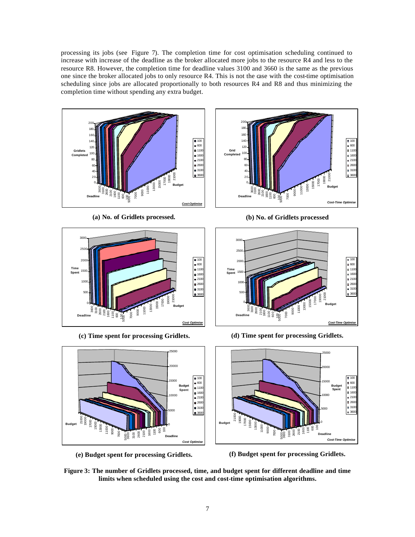processing its jobs (see Figure 7). The completion time for cost optimisation scheduling continued to increase with increase of the deadline as the broker allocated more jobs to the resource R4 and less to the resource R8. However, the completion time for deadline values 3100 and 3660 is the same as the previous one since the broker allocated jobs to only resource R4. This is not the case with the cost-time optimisation scheduling since jobs are allocated proportionally to both resources R4 and R8 and thus minimizing the completion time without spending any extra budget.



**(a) No. of Gridlets processed.**



**(c) Time spent for processing Gridlets.**



**(e) Budget spent for processing Gridlets.**



**(b) No. of Gridlets processed**



**(d) Time spent for processing Gridlets.**



**(f) Budget spent for processing Gridlets.**

**Figure 3: The number of Gridlets processed, time, and budget spent for different deadline and time limits when scheduled using the cost and cost-time optimisation algorithms.**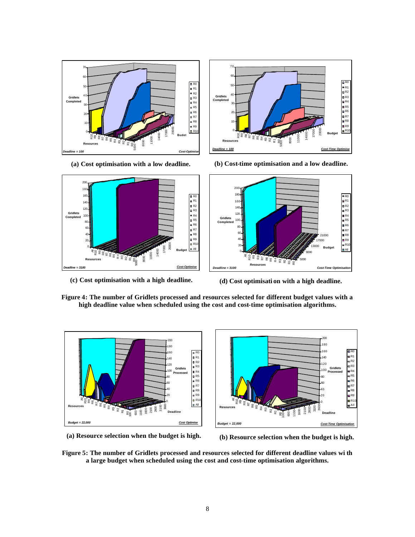

**(a) Cost optimisation with a low deadline.**



**(b) Cost-time optimisation and a low deadline.**

R0 R1 R2 R3 R4 R5 R6 R7 R8 R9 R10 All



**(c) Cost optimisation with a high deadline.**



**Figure 4: The number of Gridlets processed and resources selected for different budget values with a high deadline value when scheduled using the cost and cost-time optimisation algorithms.**



**(a) Resource selection when the budget is high.**

**(b) Resource selection when the budget is high.**

**Figure 5: The number of Gridlets processed and resources selected for different deadline values wi th a large budget when scheduled using the cost and cost-time optimisation algorithms.**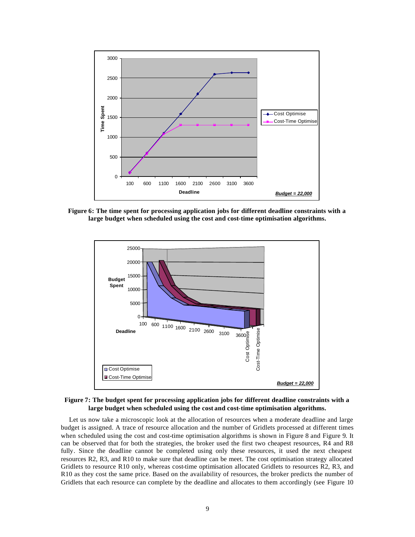

**Figure 6: The time spent for processing application jobs for different deadline constraints with a large budget when scheduled using the cost and cost-time optimisation algorithms.**



**Figure 7: The budget spent for processing application jobs for different deadline constraints with a large budget when scheduled using the cost and cost-time optimisation algorithms.**

Let us now take a microscopic look at the allocation of resources when a moderate deadline and large budget is assigned. A trace of resource allocation and the number of Gridlets processed at different times when scheduled using the cost and cost-time optimisation algorithms is shown in Figure 8 and Figure 9. It can be observed that for both the strategies, the broker used the first two cheapest resources, R4 and R8 fully. Since the deadline cannot be completed using only these resources, it used the next cheapest resources R2, R3, and R10 to make sure that deadline can be meet. The cost optimisation strategy allocated Gridlets to resource R10 only, whereas cost-time optimisation allocated Gridlets to resources R2, R3, and R10 as they cost the same price. Based on the availability of resources, the broker predicts the number of Gridlets that each resource can complete by the deadline and allocates to them accordingly (see Figure 10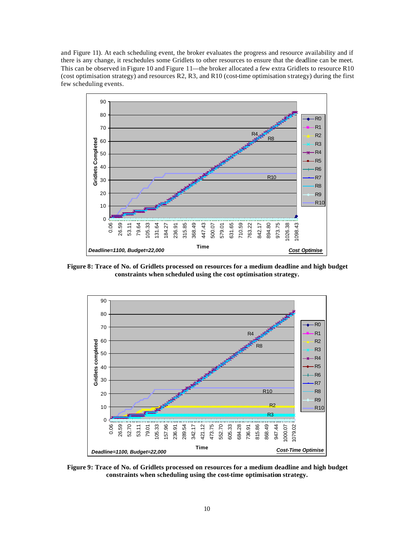and Figure 11). At each scheduling event, the broker evaluates the progress and resource availability and if there is any change, it reschedules some Gridlets to other resources to ensure that the deadline can be meet. This can be observed in Figure 10 and Figure 11—the broker allocated a few extra Gridlets to resource R10 (cost optimisation strategy) and resources R2, R3, and R10 (cost-time optimisation strategy) during the first few scheduling events.



**Figure 8: Trace of No. of Gridlets processed on resources for a medium deadline and high budget constraints when scheduled using the cost optimisation strategy.**



**Figure 9: Trace of No. of Gridlets processed on resources for a medium deadline and high budget constraints when scheduling using the cost-time optimisation strategy.**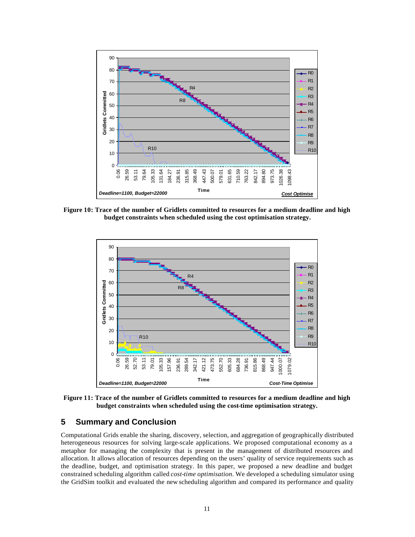

**Figure 10: Trace of the number of Gridlets committed to resources for a medium deadline and high budget constraints when scheduled using the cost optimisation strategy.**



**Figure 11: Trace of the number of Gridlets committed to resources for a medium deadline and high budget constraints when scheduled using the cost-time optimisation strategy.**

# **5 Summary and Conclusion**

Computational Grids enable the sharing, discovery, selection, and aggregation of geographically distributed heterogeneous resources for solving large-scale applications. We proposed computational economy as a metaphor for managing the complexity that is present in the management of distributed resources and allocation. It allows allocation of resources depending on the users' quality of service requirements such as the deadline, budget, and optimisation strategy. In this paper, we proposed a new deadline and budget constrained scheduling algorithm called *cost-time optimisation*. We developed a scheduling simulator using the GridSim toolkit and evaluated the new scheduling algorithm and compared its performance and quality